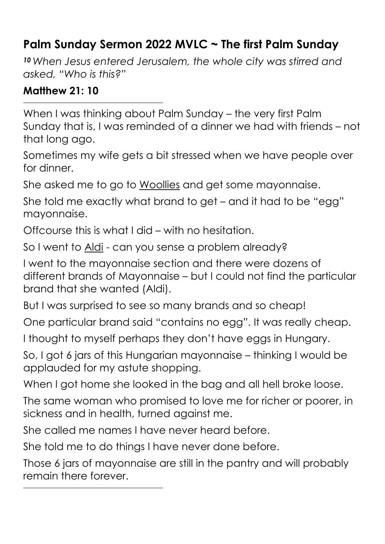## **Palm Sunday Sermon 2022 MVLC ~ The first Palm Sunday**

*<sup>10</sup>When Jesus entered Jerusalem, the whole city was stirred and asked, "Who is this?"* 

## **Matthew 21: 10**

When I was thinking about Palm Sunday – the very first Palm Sunday that is, I was reminded of a dinner we had with friends – not that long ago.

Sometimes my wife gets a bit stressed when we have people over for dinner.

She asked me to go to Woollies and get some mayonnaise.

She told me exactly what brand to get – and it had to be "egg" mayonnaise.

Offcourse this is what I did – with no hesitation.

So I went to Aldi - can you sense a problem already?

I went to the mayonnaise section and there were dozens of different brands of Mayonnaise – but I could not find the particular brand that she wanted (Aldi).

But I was surprised to see so many brands and so cheap!

One particular brand said "contains no egg". It was really cheap.

I thought to myself perhaps they don't have eggs in Hungary.

So, I got 6 jars of this Hungarian mayonnaise – thinking I would be applauded for my astute shopping.

When I got home she looked in the bag and all hell broke loose.

The same woman who promised to love me for richer or poorer, in sickness and in health, turned against me.

She called me names I have never heard before.

She told me to do things I have never done before.

Those 6 jars of mayonnaise are still in the pantry and will probably remain there forever.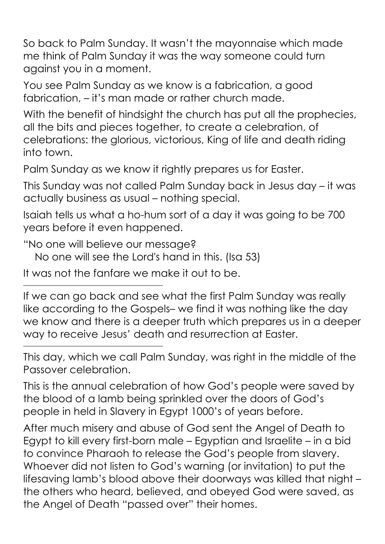So back to Palm Sunday. It wasn't the mayonnaise which made me think of Palm Sunday it was the way someone could turn against you in a moment.

You see Palm Sunday as we know is a fabrication, a good fabrication, – it's man made or rather church made.

With the benefit of hindsight the church has put all the prophecies, all the bits and pieces together, to create a celebration, of celebrations: the glorious, victorious, King of life and death riding into town.

Palm Sunday as we know it rightly prepares us for Easter.

This Sunday was not called Palm Sunday back in Jesus day – it was actually business as usual – nothing special.

Isaiah tells us what a ho-hum sort of a day it was going to be 700 years before it even happened.

"No one will believe our message?

No one will see the Lord's hand in this. (Isa 53)

It was not the fanfare we make it out to be.

If we can go back and see what the first Palm Sunday was really like according to the Gospels– we find it was nothing like the day we know and there is a deeper truth which prepares us in a deeper way to receive Jesus' death and resurrection at Easter.

This day, which we call Palm Sunday, was right in the middle of the Passover celebration.

This is the annual celebration of how God's people were saved by the blood of a lamb being sprinkled over the doors of God's people in held in Slavery in Egypt 1000's of years before.

After much misery and abuse of God sent the Angel of Death to Egypt to kill every first-born male – Egyptian and Israelite – in a bid to convince Pharaoh to release the God's people from slavery. Whoever did not listen to God's warning (or invitation) to put the lifesaving lamb's blood above their doorways was killed that night – the others who heard, believed, and obeyed God were saved, as the Angel of Death "passed over" their homes.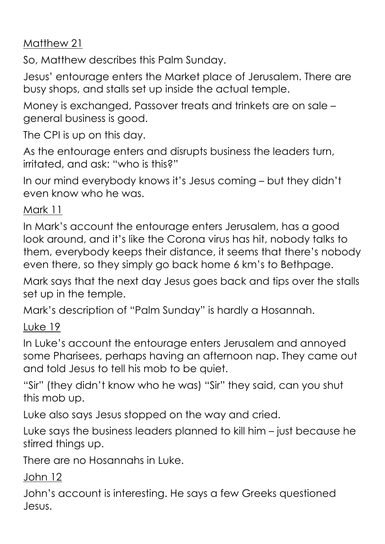Matthew 21

So, Matthew describes this Palm Sunday.

Jesus' entourage enters the Market place of Jerusalem. There are busy shops, and stalls set up inside the actual temple.

Money is exchanged, Passover treats and trinkets are on sale – general business is good.

The CPI is up on this day.

As the entourage enters and disrupts business the leaders turn, irritated, and ask: "who is this?"

In our mind everybody knows it's Jesus coming – but they didn't even know who he was.

## Mark 11

In Mark's account the entourage enters Jerusalem, has a good look around, and it's like the Corona virus has hit, nobody talks to them, everybody keeps their distance, it seems that there's nobody even there, so they simply go back home 6 km's to Bethpage.

Mark says that the next day Jesus goes back and tips over the stalls set up in the temple.

Mark's description of "Palm Sunday" is hardly a Hosannah.

Luke 19

In Luke's account the entourage enters Jerusalem and annoyed some Pharisees, perhaps having an afternoon nap. They came out and told Jesus to tell his mob to be quiet.

"Sir" (they didn't know who he was) "Sir" they said, can you shut this mob up.

Luke also says Jesus stopped on the way and cried.

Luke says the business leaders planned to kill him – just because he stirred things up.

There are no Hosannahs in Luke.

John 12

John's account is interesting. He says a few Greeks questioned Jesus.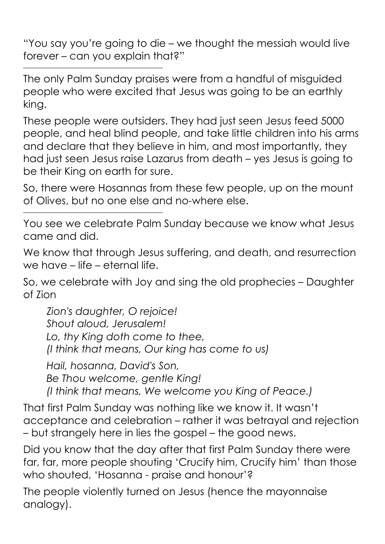"You say you're going to die – we thought the messiah would live forever – can you explain that?"

The only Palm Sunday praises were from a handful of misguided people who were excited that Jesus was going to be an earthly king.

These people were outsiders. They had just seen Jesus feed 5000 people, and heal blind people, and take little children into his arms and declare that they believe in him, and most importantly, they had just seen Jesus raise Lazarus from death – yes Jesus is going to be their King on earth for sure.

So, there were Hosannas from these few people, up on the mount of Olives, but no one else and no-where else.

You see we celebrate Palm Sunday because we know what Jesus came and did.

We know that through Jesus suffering, and death, and resurrection we have – life – eternal life.

So, we celebrate with Joy and sing the old prophecies – Daughter of Zion

*Zion's daughter, O rejoice! Shout aloud, Jerusalem! Lo, thy King doth come to thee, (I think that means, Our king has come to us)* 

*Hail, hosanna, David's Son, Be Thou welcome, gentle King! (I think that means, We welcome you King of Peace.)* 

That first Palm Sunday was nothing like we know it. It wasn't acceptance and celebration – rather it was betrayal and rejection – but strangely here in lies the gospel – the good news.

Did you know that the day after that first Palm Sunday there were far, far, more people shouting 'Crucify him, Crucify him' than those who shouted, 'Hosanna - praise and honour'?

The people violently turned on Jesus (hence the mayonnaise analogy).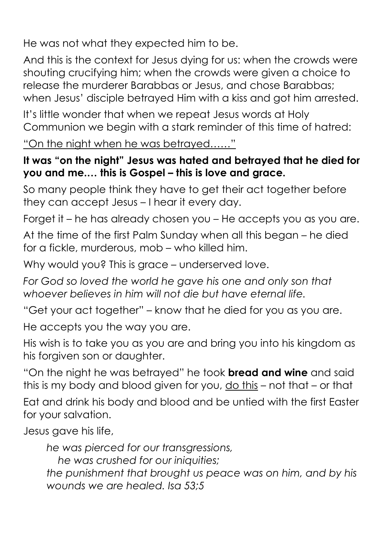He was not what they expected him to be.

And this is the context for Jesus dying for us: when the crowds were shouting crucifying him; when the crowds were given a choice to release the murderer Barabbas or Jesus, and chose Barabbas; when Jesus' disciple betrayed Him with a kiss and got him arrested.

It's little wonder that when we repeat Jesus words at Holy Communion we begin with a stark reminder of this time of hatred:

"On the night when he was betrayed……"

## **It was "on the night" Jesus was hated and betrayed that he died for you and me.… this is Gospel – this is love and grace.**

So many people think they have to get their act together before they can accept Jesus – I hear it every day.

Forget it – he has already chosen you – He accepts you as you are.

At the time of the first Palm Sunday when all this began – he died for a fickle, murderous, mob – who killed him.

Why would you? This is grace – underserved love.

*For God so loved the world he gave his one and only son that whoever believes in him will not die but have eternal life.* 

"Get your act together" – know that he died for you as you are.

He accepts you the way you are.

His wish is to take you as you are and bring you into his kingdom as his forgiven son or daughter.

"On the night he was betrayed" he took **bread and wine** and said this is my body and blood given for you, do this – not that – or that

Eat and drink his body and blood and be untied with the first Easter for your salvation.

Jesus gave his life,

*he was pierced for our transgressions,* 

 *he was crushed for our iniquities;* 

*the punishment that brought us peace was on him, and by his wounds we are healed. Isa 53;5*